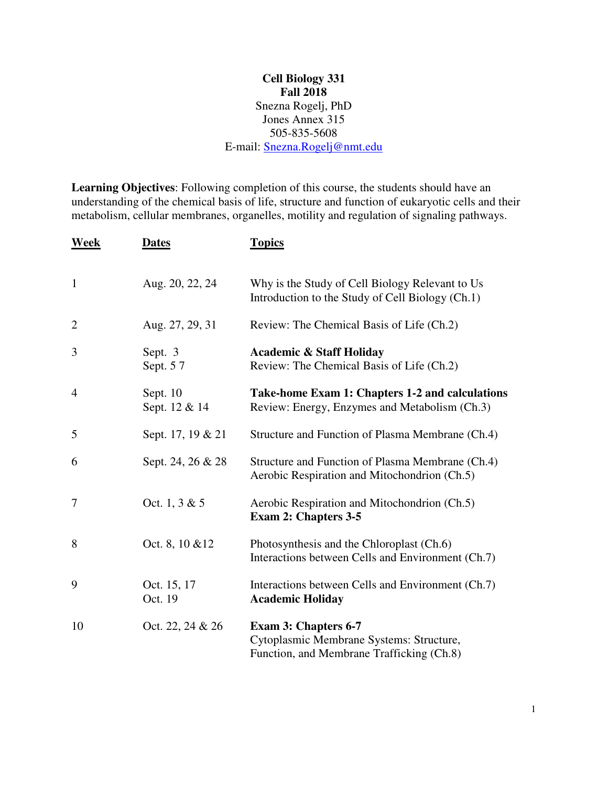## **Cell Biology 331 Fall 2018**  Snezna Rogelj, PhD Jones Annex 315 505-835-5608 E-mail: Snezna.Rogelj@nmt.edu

**Learning Objectives**: Following completion of this course, the students should have an understanding of the chemical basis of life, structure and function of eukaryotic cells and their metabolism, cellular membranes, organelles, motility and regulation of signaling pathways.

| Week           | <b>Dates</b>              | <b>Topics</b>                                                                                                        |
|----------------|---------------------------|----------------------------------------------------------------------------------------------------------------------|
| $\mathbf{1}$   | Aug. 20, 22, 24           | Why is the Study of Cell Biology Relevant to Us<br>Introduction to the Study of Cell Biology (Ch.1)                  |
| $\overline{2}$ | Aug. 27, 29, 31           | Review: The Chemical Basis of Life (Ch.2)                                                                            |
| 3              | Sept. 3<br>Sept. 57       | <b>Academic &amp; Staff Holiday</b><br>Review: The Chemical Basis of Life (Ch.2)                                     |
| $\overline{4}$ | Sept. 10<br>Sept. 12 & 14 | Take-home Exam 1: Chapters 1-2 and calculations<br>Review: Energy, Enzymes and Metabolism (Ch.3)                     |
| 5              | Sept. 17, 19 & 21         | Structure and Function of Plasma Membrane (Ch.4)                                                                     |
| 6              | Sept. 24, 26 & 28         | Structure and Function of Plasma Membrane (Ch.4)<br>Aerobic Respiration and Mitochondrion (Ch.5)                     |
| 7              | Oct. 1, 3 & 5             | Aerobic Respiration and Mitochondrion (Ch.5)<br><b>Exam 2: Chapters 3-5</b>                                          |
| 8              | Oct. 8, 10 & 12           | Photosynthesis and the Chloroplast (Ch.6)<br>Interactions between Cells and Environment (Ch.7)                       |
| 9              | Oct. 15, 17<br>Oct. 19    | Interactions between Cells and Environment (Ch.7)<br><b>Academic Holiday</b>                                         |
| 10             | Oct. 22, 24 & 26          | <b>Exam 3: Chapters 6-7</b><br>Cytoplasmic Membrane Systems: Structure,<br>Function, and Membrane Trafficking (Ch.8) |